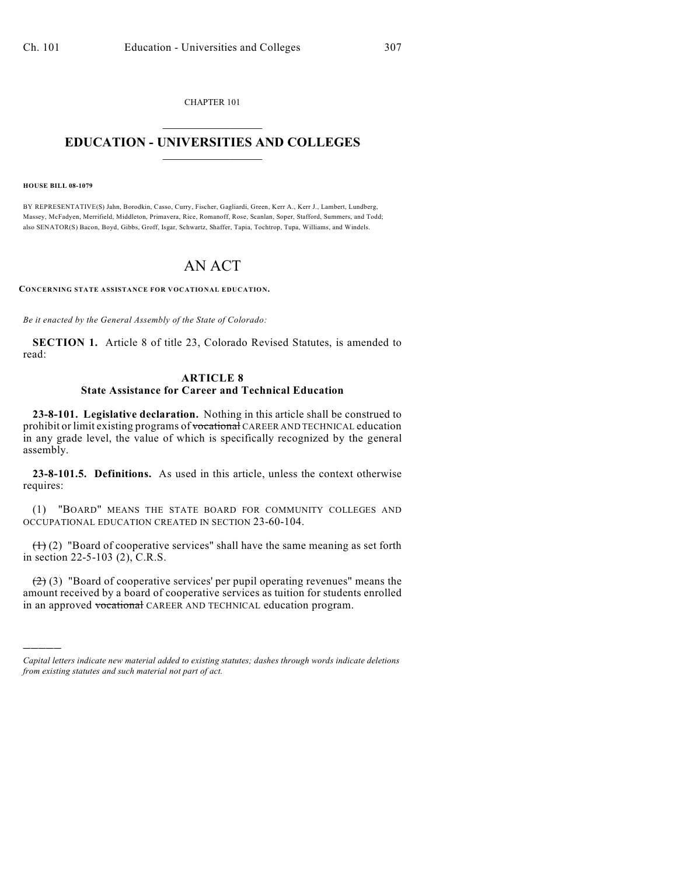CHAPTER 101  $\overline{\phantom{a}}$  . The set of the set of the set of the set of the set of the set of the set of the set of the set of the set of the set of the set of the set of the set of the set of the set of the set of the set of the set o

## **EDUCATION - UNIVERSITIES AND COLLEGES**  $\_$

**HOUSE BILL 08-1079**

)))))

BY REPRESENTATIVE(S) Jahn, Borodkin, Casso, Curry, Fischer, Gagliardi, Green, Kerr A., Kerr J., Lambert, Lundberg, Massey, McFadyen, Merrifield, Middleton, Primavera, Rice, Romanoff, Rose, Scanlan, Soper, Stafford, Summers, and Todd; also SENATOR(S) Bacon, Boyd, Gibbs, Groff, Isgar, Schwartz, Shaffer, Tapia, Tochtrop, Tupa, Williams, and Windels.

## AN ACT

**CONCERNING STATE ASSISTANCE FOR VOCATIONAL EDUCATION.**

*Be it enacted by the General Assembly of the State of Colorado:*

**SECTION 1.** Article 8 of title 23, Colorado Revised Statutes, is amended to read:

## **ARTICLE 8 State Assistance for Career and Technical Education**

**23-8-101. Legislative declaration.** Nothing in this article shall be construed to prohibit or limit existing programs of vocational CAREER AND TECHNICAL education in any grade level, the value of which is specifically recognized by the general assembly.

**23-8-101.5. Definitions.** As used in this article, unless the context otherwise requires:

(1) "BOARD" MEANS THE STATE BOARD FOR COMMUNITY COLLEGES AND OCCUPATIONAL EDUCATION CREATED IN SECTION 23-60-104.

 $(1)$  (2) "Board of cooperative services" shall have the same meaning as set forth in section 22-5-103 (2), C.R.S.

 $(2)$  (3) "Board of cooperative services' per pupil operating revenues" means the amount received by a board of cooperative services as tuition for students enrolled in an approved vocational CAREER AND TECHNICAL education program.

*Capital letters indicate new material added to existing statutes; dashes through words indicate deletions from existing statutes and such material not part of act.*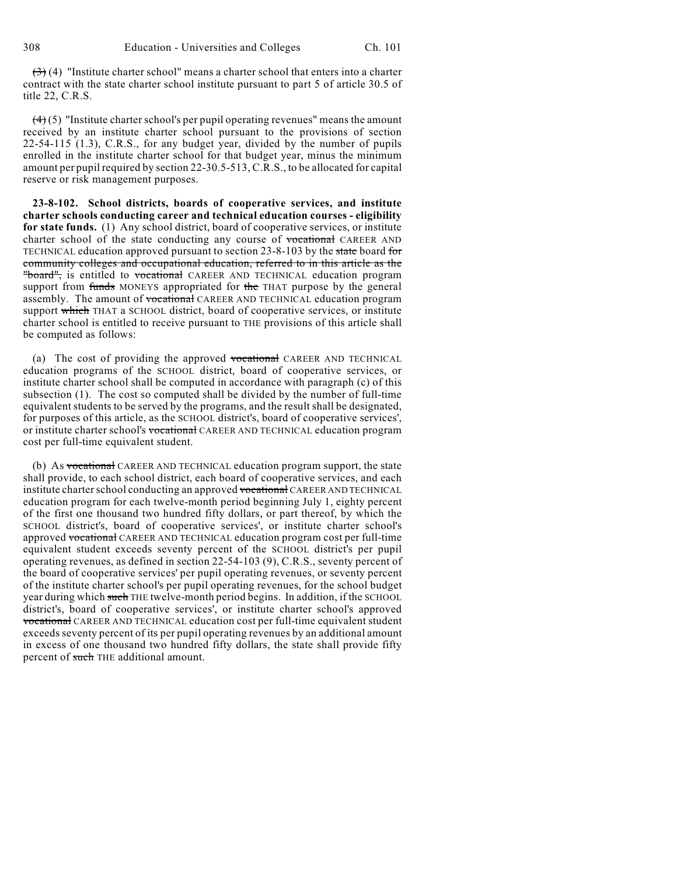$(3)$  (4) "Institute charter school" means a charter school that enters into a charter contract with the state charter school institute pursuant to part 5 of article 30.5 of title 22, C.R.S.

 $(4)$  (5) "Institute charter school's per pupil operating revenues" means the amount received by an institute charter school pursuant to the provisions of section 22-54-115 (1.3), C.R.S., for any budget year, divided by the number of pupils enrolled in the institute charter school for that budget year, minus the minimum amount per pupil required by section 22-30.5-513, C.R.S., to be allocated for capital reserve or risk management purposes.

**23-8-102. School districts, boards of cooperative services, and institute charter schools conducting career and technical education courses - eligibility for state funds.** (1) Any school district, board of cooperative services, or institute charter school of the state conducting any course of vocational CAREER AND TECHNICAL education approved pursuant to section 23-8-103 by the state board for community colleges and occupational education, referred to in this article as the "board", is entitled to vocational CAREER AND TECHNICAL education program support from funds MONEYS appropriated for the THAT purpose by the general assembly. The amount of vocational CAREER AND TECHNICAL education program support which THAT a SCHOOL district, board of cooperative services, or institute charter school is entitled to receive pursuant to THE provisions of this article shall be computed as follows:

(a) The cost of providing the approved vocational CAREER AND TECHNICAL education programs of the SCHOOL district, board of cooperative services, or institute charter school shall be computed in accordance with paragraph (c) of this subsection (1). The cost so computed shall be divided by the number of full-time equivalent students to be served by the programs, and the result shall be designated, for purposes of this article, as the SCHOOL district's, board of cooperative services', or institute charter school's vocational CAREER AND TECHNICAL education program cost per full-time equivalent student.

(b) As vocational CAREER AND TECHNICAL education program support, the state shall provide, to each school district, each board of cooperative services, and each institute charter school conducting an approved vocational CAREER AND TECHNICAL education program for each twelve-month period beginning July 1, eighty percent of the first one thousand two hundred fifty dollars, or part thereof, by which the SCHOOL district's, board of cooperative services', or institute charter school's approved vocational CAREER AND TECHNICAL education program cost per full-time equivalent student exceeds seventy percent of the SCHOOL district's per pupil operating revenues, as defined in section 22-54-103 (9), C.R.S., seventy percent of the board of cooperative services' per pupil operating revenues, or seventy percent of the institute charter school's per pupil operating revenues, for the school budget year during which such THE twelve-month period begins. In addition, if the SCHOOL district's, board of cooperative services', or institute charter school's approved vocational CAREER AND TECHNICAL education cost per full-time equivalent student exceeds seventy percent of its per pupil operating revenues by an additional amount in excess of one thousand two hundred fifty dollars, the state shall provide fifty percent of such THE additional amount.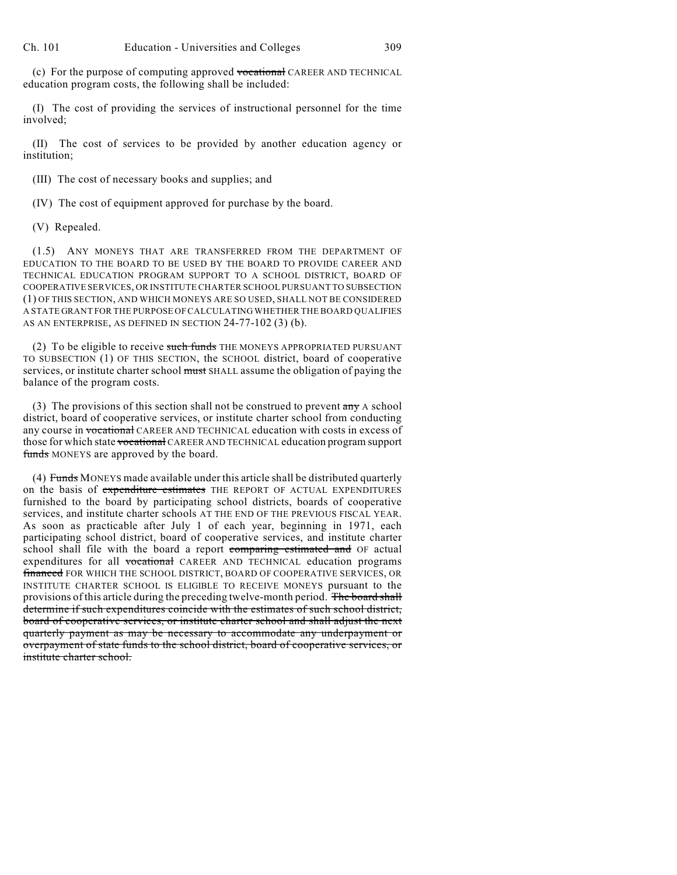(c) For the purpose of computing approved vocational CAREER AND TECHNICAL education program costs, the following shall be included:

(I) The cost of providing the services of instructional personnel for the time involved;

(II) The cost of services to be provided by another education agency or institution;

(III) The cost of necessary books and supplies; and

(IV) The cost of equipment approved for purchase by the board.

(V) Repealed.

(1.5) ANY MONEYS THAT ARE TRANSFERRED FROM THE DEPARTMENT OF EDUCATION TO THE BOARD TO BE USED BY THE BOARD TO PROVIDE CAREER AND TECHNICAL EDUCATION PROGRAM SUPPORT TO A SCHOOL DISTRICT, BOARD OF COOPERATIVE SERVICES, OR INSTITUTE CHARTER SCHOOL PURSUANT TO SUBSECTION (1) OF THIS SECTION, AND WHICH MONEYS ARE SO USED, SHALL NOT BE CONSIDERED A STATE GRANT FOR THE PURPOSE OF CALCULATING WHETHER THE BOARD QUALIFIES AS AN ENTERPRISE, AS DEFINED IN SECTION 24-77-102 (3) (b).

(2) To be eligible to receive such funds THE MONEYS APPROPRIATED PURSUANT TO SUBSECTION (1) OF THIS SECTION, the SCHOOL district, board of cooperative services, or institute charter school must SHALL assume the obligation of paying the balance of the program costs.

(3) The provisions of this section shall not be construed to prevent  $\frac{any}{any}$  A school district, board of cooperative services, or institute charter school from conducting any course in vocational CAREER AND TECHNICAL education with costs in excess of those for which state vocational CAREER AND TECHNICAL education program support funds MONEYS are approved by the board.

(4) Funds MONEYS made available under this article shall be distributed quarterly on the basis of expenditure estimates THE REPORT OF ACTUAL EXPENDITURES furnished to the board by participating school districts, boards of cooperative services, and institute charter schools AT THE END OF THE PREVIOUS FISCAL YEAR. As soon as practicable after July 1 of each year, beginning in 1971, each participating school district, board of cooperative services, and institute charter school shall file with the board a report comparing estimated and OF actual expenditures for all vocational CAREER AND TECHNICAL education programs **financed** FOR WHICH THE SCHOOL DISTRICT, BOARD OF COOPERATIVE SERVICES, OR INSTITUTE CHARTER SCHOOL IS ELIGIBLE TO RECEIVE MONEYS pursuant to the provisions of this article during the preceding twelve-month period. The board shall determine if such expenditures coincide with the estimates of such school district, board of cooperative services, or institute charter school and shall adjust the next quarterly payment as may be necessary to accommodate any underpayment or overpayment of state funds to the school district, board of cooperative services, or institute charter school.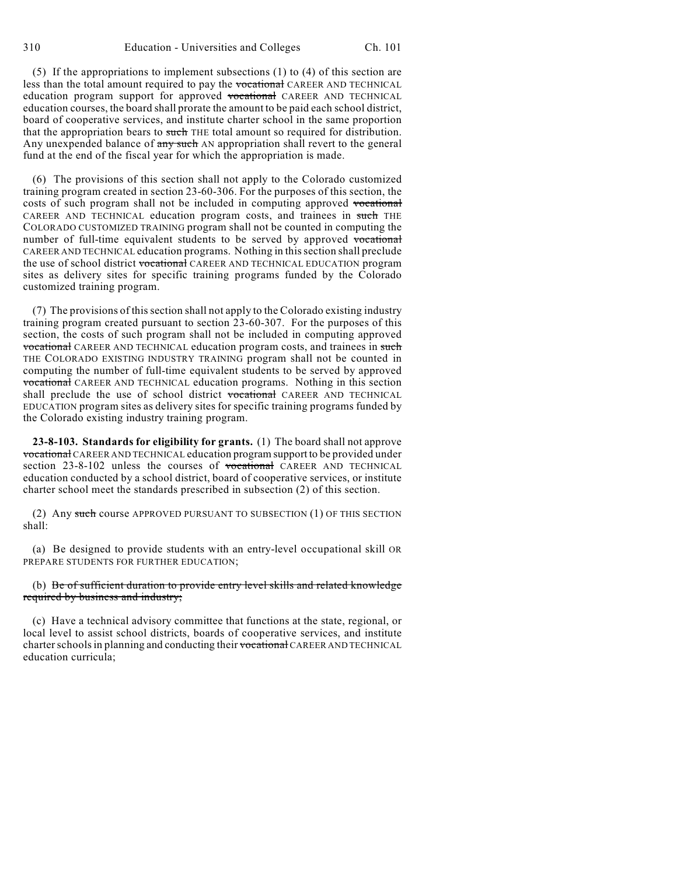(5) If the appropriations to implement subsections (1) to (4) of this section are less than the total amount required to pay the vocational CAREER AND TECHNICAL education program support for approved vocational CAREER AND TECHNICAL education courses, the board shall prorate the amount to be paid each school district, board of cooperative services, and institute charter school in the same proportion that the appropriation bears to such THE total amount so required for distribution. Any unexpended balance of any such AN appropriation shall revert to the general fund at the end of the fiscal year for which the appropriation is made.

(6) The provisions of this section shall not apply to the Colorado customized training program created in section 23-60-306. For the purposes of this section, the costs of such program shall not be included in computing approved vocational CAREER AND TECHNICAL education program costs, and trainees in such THE COLORADO CUSTOMIZED TRAINING program shall not be counted in computing the number of full-time equivalent students to be served by approved vocational CAREER AND TECHNICAL education programs. Nothing in this section shall preclude the use of school district vocational CAREER AND TECHNICAL EDUCATION program sites as delivery sites for specific training programs funded by the Colorado customized training program.

(7) The provisions of this section shall not apply to the Colorado existing industry training program created pursuant to section 23-60-307. For the purposes of this section, the costs of such program shall not be included in computing approved **vocational** CAREER AND TECHNICAL education program costs, and trainees in such THE COLORADO EXISTING INDUSTRY TRAINING program shall not be counted in computing the number of full-time equivalent students to be served by approved vocational CAREER AND TECHNICAL education programs. Nothing in this section shall preclude the use of school district vocational CAREER AND TECHNICAL EDUCATION program sites as delivery sites for specific training programs funded by the Colorado existing industry training program.

**23-8-103. Standards for eligibility for grants.** (1) The board shall not approve vocational CAREER AND TECHNICAL education program support to be provided under section 23-8-102 unless the courses of vocational CAREER AND TECHNICAL education conducted by a school district, board of cooperative services, or institute charter school meet the standards prescribed in subsection (2) of this section.

(2) Any such course APPROVED PURSUANT TO SUBSECTION (1) OF THIS SECTION shall:

(a) Be designed to provide students with an entry-level occupational skill OR PREPARE STUDENTS FOR FURTHER EDUCATION;

## (b) Be of sufficient duration to provide entry level skills and related knowledge required by business and industry;

(c) Have a technical advisory committee that functions at the state, regional, or local level to assist school districts, boards of cooperative services, and institute charter schools in planning and conducting their vocational CAREER AND TECHNICAL education curricula;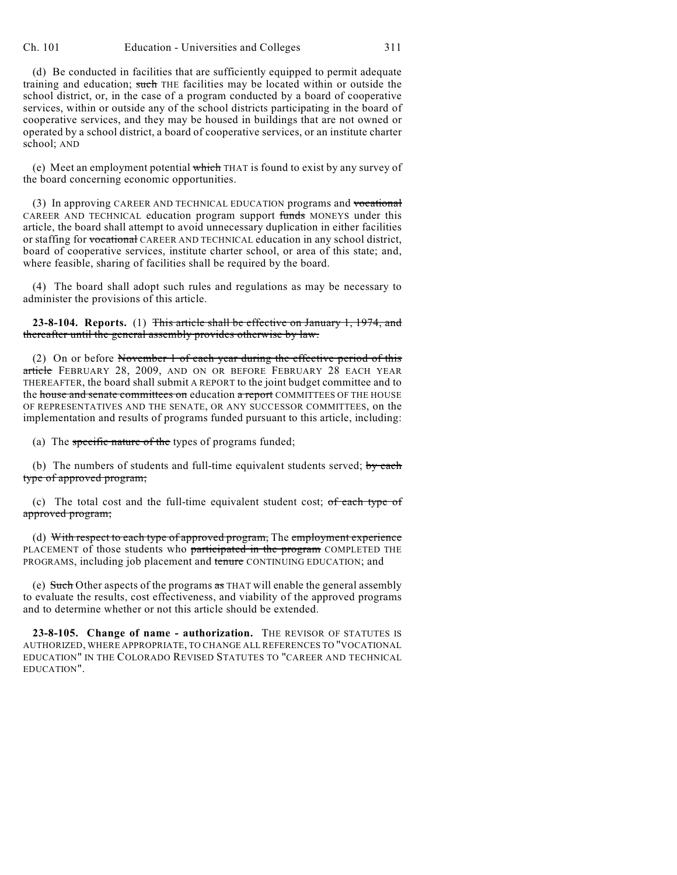(d) Be conducted in facilities that are sufficiently equipped to permit adequate training and education; such THE facilities may be located within or outside the school district, or, in the case of a program conducted by a board of cooperative services, within or outside any of the school districts participating in the board of cooperative services, and they may be housed in buildings that are not owned or operated by a school district, a board of cooperative services, or an institute charter school; AND

(e) Meet an employment potential  $\frac{1}{w + b}$  THAT is found to exist by any survey of the board concerning economic opportunities.

(3) In approving CAREER AND TECHNICAL EDUCATION programs and vocational CAREER AND TECHNICAL education program support funds MONEYS under this article, the board shall attempt to avoid unnecessary duplication in either facilities or staffing for vocational CAREER AND TECHNICAL education in any school district, board of cooperative services, institute charter school, or area of this state; and, where feasible, sharing of facilities shall be required by the board.

(4) The board shall adopt such rules and regulations as may be necessary to administer the provisions of this article.

**23-8-104. Reports.** (1) This article shall be effective on January 1, 1974, and thereafter until the general assembly provides otherwise by law.

(2) On or before November 1 of each year during the effective period of this article FEBRUARY 28, 2009, AND ON OR BEFORE FEBRUARY 28 EACH YEAR THEREAFTER, the board shall submit A REPORT to the joint budget committee and to the house and senate committees on education a report COMMITTEES OF THE HOUSE OF REPRESENTATIVES AND THE SENATE, OR ANY SUCCESSOR COMMITTEES, on the implementation and results of programs funded pursuant to this article, including:

(a) The specific nature of the types of programs funded;

(b) The numbers of students and full-time equivalent students served; by each type of approved program;

(c) The total cost and the full-time equivalent student cost; of each type of approved program;

(d) With respect to each type of approved program, The employment experience PLACEMENT of those students who participated in the program COMPLETED THE PROGRAMS, including job placement and tenure CONTINUING EDUCATION; and

(e) Such Other aspects of the programs  $\frac{1}{100}$  as THAT will enable the general assembly to evaluate the results, cost effectiveness, and viability of the approved programs and to determine whether or not this article should be extended.

**23-8-105. Change of name - authorization.** THE REVISOR OF STATUTES IS AUTHORIZED, WHERE APPROPRIATE, TO CHANGE ALL REFERENCES TO "VOCATIONAL EDUCATION" IN THE COLORADO REVISED STATUTES TO "CAREER AND TECHNICAL EDUCATION".